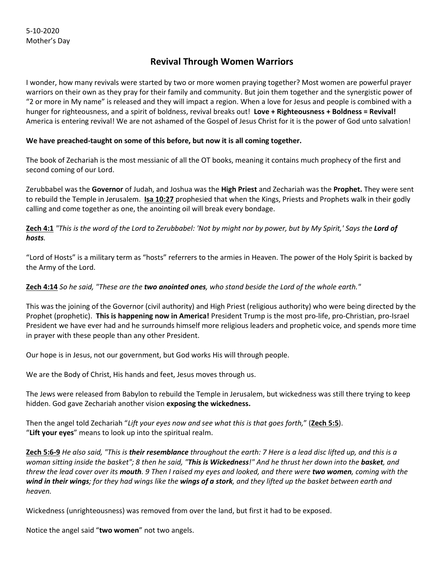# **Revival Through Women Warriors**

I wonder, how many revivals were started by two or more women praying together? Most women are powerful prayer warriors on their own as they pray for their family and community. But join them together and the synergistic power of "2 or more in My name" is released and they will impact a region. When a love for Jesus and people is combined with a hunger for righteousness, and a spirit of boldness, revival breaks out! **Love + Righteousness + Boldness = Revival!** America is entering revival! We are not ashamed of the Gospel of Jesus Christ for it is the power of God unto salvation!

## **We have preached-taught on some of this before, but now it is all coming together.**

The book of Zechariah is the most messianic of all the OT books, meaning it contains much prophecy of the first and second coming of our Lord.

Zerubbabel was the **Governor** of Judah, and Joshua was the **High Priest** and Zechariah was the **Prophet.** They were sent to rebuild the Temple in Jerusalem. **Isa 10:27** prophesied that when the Kings, Priests and Prophets walk in their godly calling and come together as one, the anointing oil will break every bondage.

**Zech 4:1** *"This is the word of the Lord to Zerubbabel: 'Not by might nor by power, but by My Spirit,' Says the Lord of hosts.* 

"Lord of Hosts" is a military term as "hosts" referrers to the armies in Heaven. The power of the Holy Spirit is backed by the Army of the Lord.

**Zech 4:14** *So he said, "These are the two anointed ones, who stand beside the Lord of the whole earth."* 

This was the joining of the Governor (civil authority) and High Priest (religious authority) who were being directed by the Prophet (prophetic). **This is happening now in America!** President Trump is the most pro-life, pro-Christian, pro-Israel President we have ever had and he surrounds himself more religious leaders and prophetic voice, and spends more time in prayer with these people than any other President.

Our hope is in Jesus, not our government, but God works His will through people.

We are the Body of Christ, His hands and feet, Jesus moves through us.

The Jews were released from Babylon to rebuild the Temple in Jerusalem, but wickedness was still there trying to keep hidden. God gave Zechariah another vision **exposing the wickedness.**

Then the angel told Zechariah "*Lift your eyes now and see what this is that goes forth,*" (**Zech 5:5**). "**Lift your eyes**" means to look up into the spiritual realm.

**Zech 5:6-9** *He also said, "This is their resemblance throughout the earth: 7 Here is a lead disc lifted up, and this is a woman sitting inside the basket"; 8 then he said, "This is Wickedness!" And he thrust her down into the basket, and threw the lead cover over its mouth. 9 Then I raised my eyes and looked, and there were two women, coming with the wind in their wings; for they had wings like the wings of a stork, and they lifted up the basket between earth and heaven.* 

Wickedness (unrighteousness) was removed from over the land, but first it had to be exposed.

Notice the angel said "**two women**" not two angels.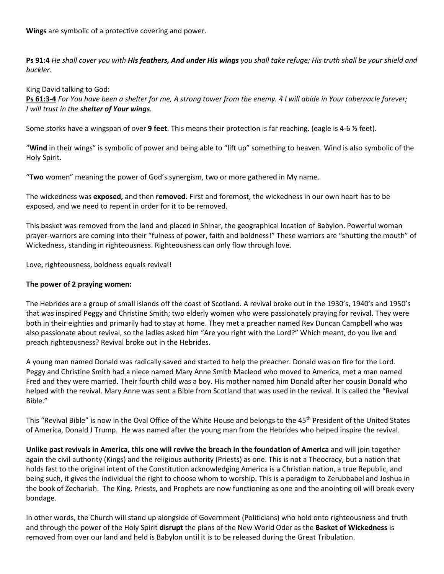**Wings** are symbolic of a protective covering and power.

**Ps 91:4** *He shall cover you with His feathers, And under His wings you shall take refuge; His truth shall be your shield and buckler.* 

King David talking to God:

**Ps 61:3-4** *For You have been a shelter for me, A strong tower from the enemy. 4 I will abide in Your tabernacle forever; I will trust in the shelter of Your wings.*

Some storks have a wingspan of over **9 feet**. This means their protection is far reaching. (eagle is 4-6 ½ feet).

"**Wind** in their wings" is symbolic of power and being able to "lift up" something to heaven. Wind is also symbolic of the Holy Spirit.

"**Two** women" meaning the power of God's synergism, two or more gathered in My name.

The wickedness was **exposed,** and then **removed.** First and foremost, the wickedness in our own heart has to be exposed, and we need to repent in order for it to be removed.

This basket was removed from the land and placed in Shinar, the geographical location of Babylon. Powerful woman prayer-warriors are coming into their "fulness of power, faith and boldness!" These warriors are "shutting the mouth" of Wickedness, standing in righteousness. Righteousness can only flow through love.

Love, righteousness, boldness equals revival!

#### **The power of 2 praying women:**

The Hebrides are a group of small islands off the coast of Scotland. A revival broke out in the 1930's, 1940's and 1950's that was inspired Peggy and Christine Smith; two elderly women who were passionately praying for revival. They were both in their eighties and primarily had to stay at home. They met a preacher named Rev Duncan Campbell who was also passionate about revival, so the ladies asked him "Are you right with the Lord?" Which meant, do you live and preach righteousness? Revival broke out in the Hebrides.

A young man named Donald was radically saved and started to help the preacher. Donald was on fire for the Lord. Peggy and Christine Smith had a niece named Mary Anne Smith Macleod who moved to America, met a man named Fred and they were married. Their fourth child was a boy. His mother named him Donald after her cousin Donald who helped with the revival. Mary Anne was sent a Bible from Scotland that was used in the revival. It is called the "Revival Bible."

This "Revival Bible" is now in the Oval Office of the White House and belongs to the 45th President of the United States of America, Donald J Trump. He was named after the young man from the Hebrides who helped inspire the revival.

**Unlike past revivals in America, this one will revive the breach in the foundation of America** and will join together again the civil authority (Kings) and the religious authority (Priests) as one. This is not a Theocracy, but a nation that holds fast to the original intent of the Constitution acknowledging America is a Christian nation, a true Republic, and being such, it gives the individual the right to choose whom to worship. This is a paradigm to Zerubbabel and Joshua in the book of Zechariah. The King, Priests, and Prophets are now functioning as one and the anointing oil will break every bondage.

In other words, the Church will stand up alongside of Government (Politicians) who hold onto righteousness and truth and through the power of the Holy Spirit **disrupt** the plans of the New World Oder as the **Basket of Wickedness** is removed from over our land and held is Babylon until it is to be released during the Great Tribulation.